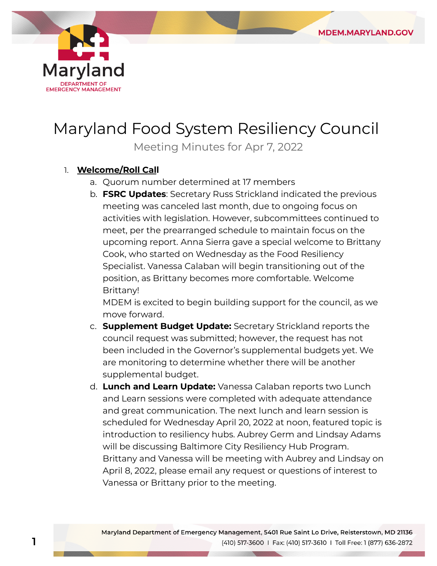



**1**

# Maryland Food System Resiliency Council

Meeting Minutes for Apr 7, 2022

# 1. **Welcome/Roll Call**

- a. Quorum number determined at 17 members
- b. **FSRC Updates**: Secretary Russ Strickland indicated the previous meeting was canceled last month, due to ongoing focus on activities with legislation. However, subcommittees continued to meet, per the prearranged schedule to maintain focus on the upcoming report. Anna Sierra gave a special welcome to Brittany Cook, who started on Wednesday as the Food Resiliency Specialist. Vanessa Calaban will begin transitioning out of the position, as Brittany becomes more comfortable. Welcome Brittany!

 MDEM is excited to begin building support for the council, as we move forward.

- c. **Supplement Budget Update:** Secretary Strickland reports the council request was submitted; however, the request has not been included in the Governor's supplemental budgets yet. We are monitoring to determine whether there will be another supplemental budget.
- d. **Lunch and Learn Update:** Vanessa Calaban reports two Lunch and Learn sessions were completed with adequate attendance and great communication. The next lunch and learn session is scheduled for Wednesday April 20, 2022 at noon, featured topic is introduction to resiliency hubs. Aubrey Germ and Lindsay Adams will be discussing Baltimore City Resiliency Hub Program. Brittany and Vanessa will be meeting with Aubrey and Lindsay on April 8, 2022, please email any request or questions of interest to Vanessa or Brittany prior to the meeting.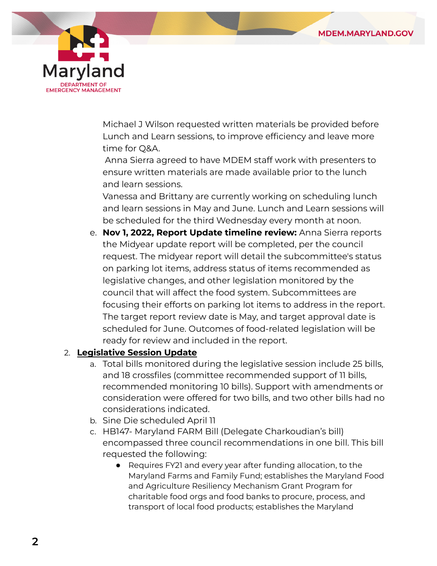



 Michael J Wilson requested written materials be provided before Lunch and Learn sessions, to improve efficiency and leave more time for Q&A.

 Anna Sierra agreed to have MDEM staff work with presenters to ensure written materials are made available prior to the lunch and learn sessions.

 Vanessa and Brittany are currently working on scheduling lunch and learn sessions in May and June. Lunch and Learn sessions will be scheduled for the third Wednesday every month at noon.

 e. **Nov 1, 2022, Report Update timeline review:** Anna Sierra reports the Midyear update report will be completed, per the council request. The midyear report will detail the subcommittee's status on parking lot items, address status of items recommended as legislative changes, and other legislation monitored by the council that will affect the food system. Subcommittees are focusing their efforts on parking lot items to address in the report. The target report review date is May, and target approval date is scheduled for June. Outcomes of food-related legislation will be ready for review and included in the report.

### 2. **Legislative Session Update**

- a. Total bills monitored during the legislative session include 25 bills, and 18 crossfiles (committee recommended support of 11 bills, recommended monitoring 10 bills). Support with amendments or consideration were offered for two bills, and two other bills had no considerations indicated.
- b. Sine Die scheduled April 11
- c. HB147- Maryland FARM Bill (Delegate Charkoudian's bill) encompassed three council recommendations in one bill. This bill requested the following:
	- ● Requires FY21 and every year after funding allocation, to the Maryland Farms and Family Fund; establishes the Maryland Food and Agriculture Resiliency Mechanism Grant Program for charitable food orgs and food banks to procure, process, and transport of local food products; establishes the Maryland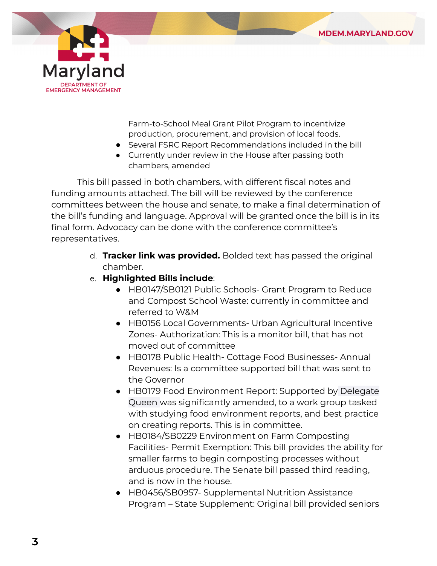



 Farm-to-School Meal Grant Pilot Program to incentivize production, procurement, and provision of local foods.

- Several FSRC Report Recommendations included in the bill
- ● Currently under review in the House after passing both chambers, amended

 This bill passed in both chambers, with different fiscal notes and funding amounts attached. The bill will be reviewed by the conference committees between the house and senate, to make a final determination of the bill's funding and language. Approval will be granted once the bill is in its final form. Advocacy can be done with the conference committee's representatives.

- d. **Tracker link was provided.** Bolded text has passed the original chamber.
- e. **Highlighted Bills include**:
	- ● HB0147/SB0121 Public Schools- Grant Program to Reduce and Compost School Waste: currently in committee and referred to W&M
	- **●** HB0156 Local Governments- Urban Agricultural Incentive Zones- Authorization: This is a monitor bill, that has not moved out of committee
	- **●** HB0178 Public Health- Cottage Food Businesses- Annual Revenues: Is a committee supported bill that was sent to the Governor
	- **●** HB0179 Food Environment Report: Supported by Delegate Queen was significantly amended, to a work group tasked with studying food environment reports, and best practice on creating reports. This is in committee.
	- **●** HB0184/SB0229 Environment on Farm Composting Facilities- Permit Exemption: This bill provides the ability for smaller farms to begin composting processes without arduous procedure. The Senate bill passed third reading, and is now in the house.
	- **●** HB0456/SB0957- Supplemental Nutrition Assistance Program – State Supplement: Original bill provided seniors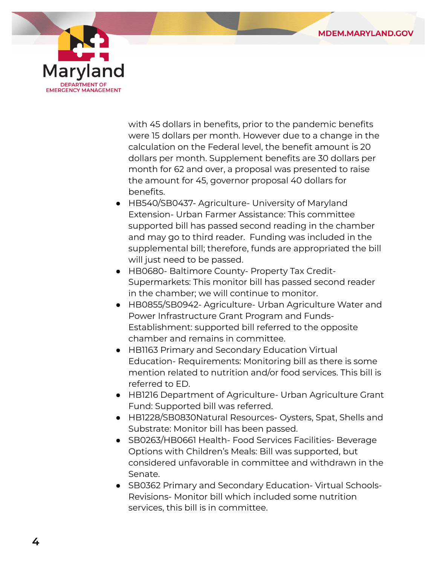



 with 45 dollars in benefits, prior to the pandemic benefits were 15 dollars per month. However due to a change in the calculation on the Federal level, the benefit amount is 20 dollars per month. Supplement benefits are 30 dollars per month for 62 and over, a proposal was presented to raise the amount for 45, governor proposal 40 dollars for benefits.

- **●** HB540/SB0437- Agriculture- University of Maryland Extension- Urban Farmer Assistance: This committee supported bill has passed second reading in the chamber and may go to third reader. Funding was included in the supplemental bill; therefore, funds are appropriated the bill will just need to be passed.
- **●** HB0680- Baltimore County- Property Tax Credit- Supermarkets: This monitor bill has passed second reader in the chamber; we will continue to monitor.
- **●** HB0855/SB0942- Agriculture- Urban Agriculture Water and Power Infrastructure Grant Program and Funds- Establishment: supported bill referred to the opposite chamber and remains in committee.
- **●** HB1163 Primary and Secondary Education Virtual Education- Requirements: Monitoring bill as there is some mention related to nutrition and/or food services. This bill is referred to ED.
- **●** HB1216 Department of Agriculture- Urban Agriculture Grant Fund: Supported bill was referred.
- **●** HB1228/SB0830Natural Resources- Oysters, Spat, Shells and Substrate: Monitor bill has been passed.
- **●** SB0263/HB0661 Health- Food Services Facilities- Beverage Options with Children's Meals: Bill was supported, but considered unfavorable in committee and withdrawn in the Senate.
- **●** SB0362 Primary and Secondary Education- Virtual Schools- Revisions- Monitor bill which included some nutrition services, this bill is in committee.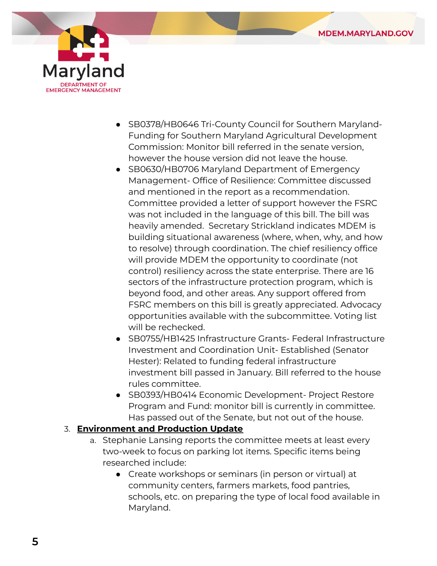



- **●** SB0378/HB0646 Tri-County Council for Southern Maryland- Funding for Southern Maryland Agricultural Development Commission: Monitor bill referred in the senate version, however the house version did not leave the house.
- **●** SB0630/HB0706 Maryland Department of Emergency Management- Office of Resilience: Committee discussed and mentioned in the report as a recommendation. Committee provided a letter of support however the FSRC was not included in the language of this bill. The bill was heavily amended. Secretary Strickland indicates MDEM is building situational awareness (where, when, why, and how to resolve) through coordination. The chief resiliency office will provide MDEM the opportunity to coordinate (not control) resiliency across the state enterprise. There are 16 sectors of the infrastructure protection program, which is beyond food, and other areas. Any support offered from FSRC members on this bill is greatly appreciated. Advocacy opportunities available with the subcommittee. Voting list will be rechecked.
- **●** SB0755/HB1425 Infrastructure Grants- Federal Infrastructure Investment and Coordination Unit- Established (Senator Hester): Related to funding federal infrastructure investment bill passed in January. Bill referred to the house rules committee.
- **●** SB0393/HB0414 Economic Development- Project Restore Program and Fund: monitor bill is currently in committee. Has passed out of the Senate, but not out of the house.

## 3. **Environment and Production Update**

- a. Stephanie Lansing reports the committee meets at least every two-week to focus on parking lot items. Specific items being researched include:
	- **●** Create workshops or seminars (in person or virtual) at community centers, farmers markets, food pantries, schools, etc. on preparing the type of local food available in Maryland.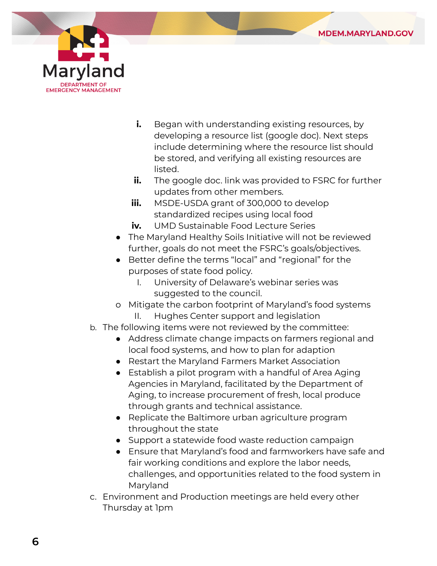



- **i.** Began with understanding existing resources, by developing a resource list (google doc). Next steps include determining where the resource list should be stored, and verifying all existing resources are listed.
- **ii.** The google doc. link was provided to FSRC for further updates from other members.
- **iii.** MSDE-USDA grant of 300,000 to develop standardized recipes using local food
- **iv.** UMD Sustainable Food Lecture Series
- ● The Maryland Healthy Soils Initiative will not be reviewed further, goals do not meet the FSRC's goals/objectives.
- ● Better define the terms "local" and "regional" for the purposes of state food policy.
	- I. University of Delaware's webinar series was suggested to the council.
- o Mitigate the carbon footprint of Maryland's food systems II. Hughes Center support and legislation
- b. The following items were not reviewed by the committee:
	- ● Address climate change impacts on farmers regional and local food systems, and how to plan for adaption
	- Restart the Maryland Farmers Market Association
	- ● Establish a pilot program with a handful of Area Aging Agencies in Maryland, facilitated by the Department of Aging, to increase procurement of fresh, local produce through grants and technical assistance.
	- ● Replicate the Baltimore urban agriculture program throughout the state
	- Support a statewide food waste reduction campaign
	- ● Ensure that Maryland's food and farmworkers have safe and fair working conditions and explore the labor needs, challenges, and opportunities related to the food system in Maryland
- c. Environment and Production meetings are held every other Thursday at 1pm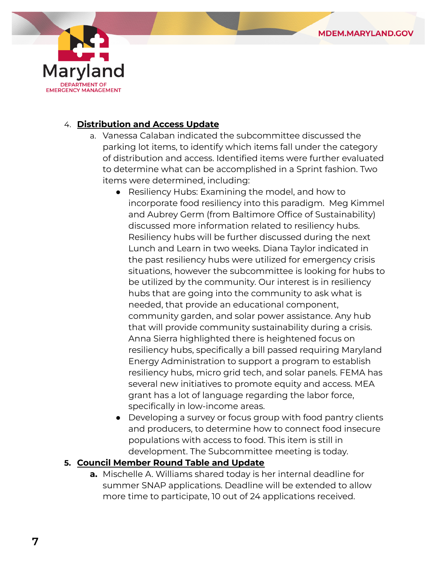

# 4. **Distribution and Access Update**

- a. Vanessa Calaban indicated the subcommittee discussed the parking lot items, to identify which items fall under the category of distribution and access. Identified items were further evaluated to determine what can be accomplished in a Sprint fashion. Two items were determined, including:
	- ● Resiliency Hubs: Examining the model, and how to incorporate food resiliency into this paradigm. Meg Kimmel and Aubrey Germ (from Baltimore Office of Sustainability) discussed more information related to resiliency hubs. Resiliency hubs will be further discussed during the next Lunch and Learn in two weeks. Diana Taylor indicated in the past resiliency hubs were utilized for emergency crisis situations, however the subcommittee is looking for hubs to be utilized by the community. Our interest is in resiliency hubs that are going into the community to ask what is needed, that provide an educational component, community garden, and solar power assistance. Any hub that will provide community sustainability during a crisis. Anna Sierra highlighted there is heightened focus on resiliency hubs, specifically a bill passed requiring Maryland Energy Administration to support a program to establish resiliency hubs, micro grid tech, and solar panels. FEMA has several new initiatives to promote equity and access. MEA grant has a lot of language regarding the labor force, specifically in low-income areas.
	- ● Developing a survey or focus group with food pantry clients and producers, to determine how to connect food insecure populations with access to food. This item is still in development. The Subcommittee meeting is today.

### **5. Council Member Round Table and Update**

 **a.** Mischelle A. Williams shared today is her internal deadline for summer SNAP applications. Deadline will be extended to allow more time to participate, 10 out of 24 applications received.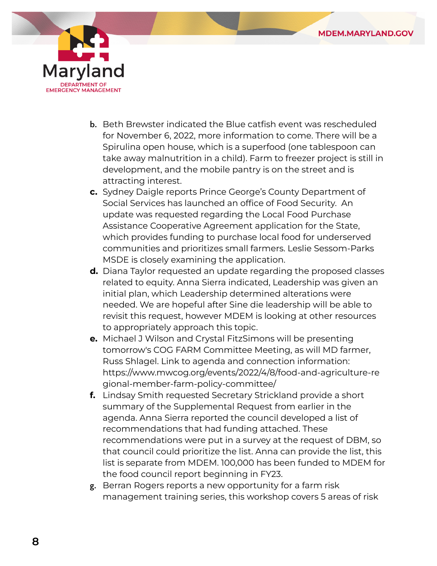



- **b.** Beth Brewster indicated the Blue catfish event was rescheduled for November 6, 2022, more information to come. There will be a Spirulina open house, which is a superfood (one tablespoon can take away malnutrition in a child). Farm to freezer project is still in development, and the mobile pantry is on the street and is attracting interest.
- **c.** Sydney Daigle reports Prince George's County Department of Social Services has launched an office of Food Security. An update was requested regarding the Local Food Purchase Assistance Cooperative Agreement application for the State, which provides funding to purchase local food for underserved communities and prioritizes small farmers. Leslie Sessom-Parks MSDE is closely examining the application.
- **d.** Diana Taylor requested an update regarding the proposed classes related to equity. Anna Sierra indicated, Leadership was given an initial plan, which Leadership determined alterations were needed. We are hopeful after Sine die leadership will be able to revisit this request, however MDEM is looking at other resources to appropriately approach this topic.
- **e.** Michael J Wilson and Crystal FitzSimons will be presenting tomorrow's COG FARM Committee Meeting, as will MD farmer, Russ Shlagel. Link to agenda and connection information: <https://www.mwcog.org/events/2022/4/8/food-and-agriculture-re> gional-member-farm-policy-committee/
- **f.** Lindsay Smith requested Secretary Strickland provide a short summary of the Supplemental Request from earlier in the agenda. Anna Sierra reported the council developed a list of recommendations that had funding attached. These recommendations were put in a survey at the request of DBM, so that council could prioritize the list. Anna can provide the list, this list is separate from MDEM. 100,000 has been funded to MDEM for the food council report beginning in FY23.
- **g.** Berran Rogers reports a new opportunity for a farm risk management training series, this workshop covers 5 areas of risk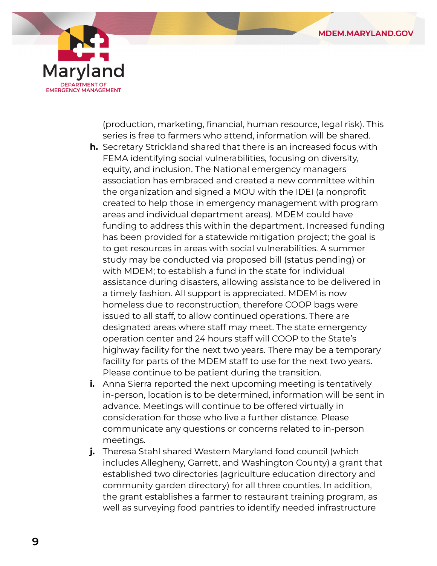



 (production, marketing, financial, human resource, legal risk). This series is free to farmers who attend, information will be shared.

- **h.** Secretary Strickland shared that there is an increased focus with FEMA identifying social vulnerabilities, focusing on diversity, equity, and inclusion. The National emergency managers association has embraced and created a new committee within the organization and signed a MOU with the IDEI (a nonprofit created to help those in emergency management with program areas and individual department areas). MDEM could have funding to address this within the department. Increased funding has been provided for a statewide mitigation project; the goal is to get resources in areas with social vulnerabilities. A summer study may be conducted via proposed bill (status pending) or with MDEM; to establish a fund in the state for individual assistance during disasters, allowing assistance to be delivered in a timely fashion. All support is appreciated. MDEM is now homeless due to reconstruction, therefore COOP bags were issued to all staff, to allow continued operations. There are designated areas where staff may meet. The state emergency operation center and 24 hours staff will COOP to the State's highway facility for the next two years. There may be a temporary facility for parts of the MDEM staff to use for the next two years. Please continue to be patient during the transition.
- **i.** Anna Sierra reported the next upcoming meeting is tentatively in-person, location is to be determined, information will be sent in advance. Meetings will continue to be offered virtually in consideration for those who live a further distance. Please communicate any questions or concerns related to in-person meetings.
- **j.** Theresa Stahl shared Western Maryland food council (which includes Allegheny, Garrett, and Washington County) a grant that established two directories (agriculture education directory and community garden directory) for all three counties. In addition, the grant establishes a farmer to restaurant training program, as well as surveying food pantries to identify needed infrastructure